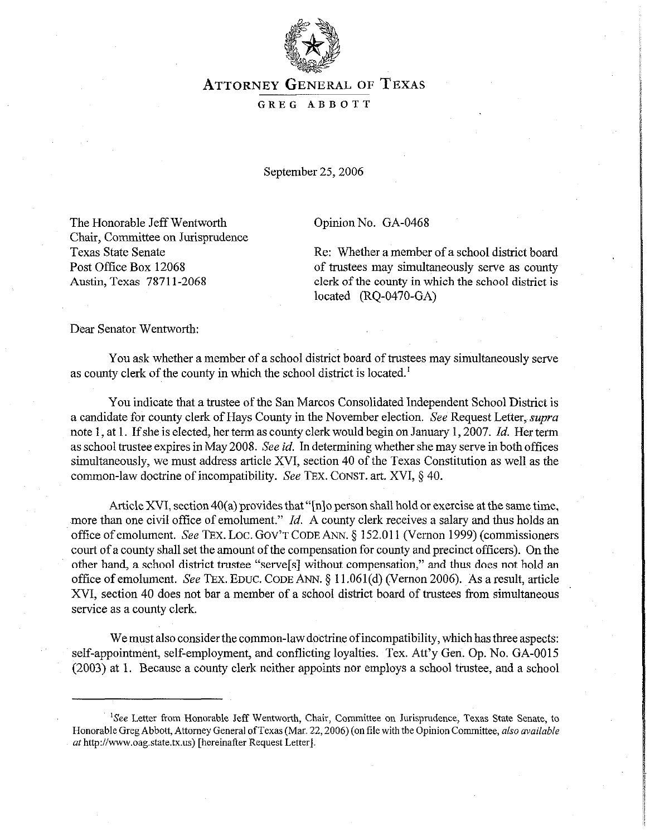

## **ATTORNEY** GENERAL OF **TEXAS**

## GREG ABBOTT

September 25,2006

The Honorable Jeff Wentworth Chair, Committee on Jurisprudence Texas State Senate Post Office Box 12068 Austin, Texas 7871 l-2068

Opinion No. GA-0468

Re: Whether a member of a school district board of trustees may simultaneously serve as county clerk of the county in which the school district is located (RQ-0470-GA)

Dear Senator Wentworth:

You ask whether a member of a school district board of trustees may simultaneously serve as county clerk of the county in which the school district is located.'

You indicate that a trustee of the San Marcos Consolidated Independent School District is a candidate for county clerk of Hays County in the November election. See Request Letter, *supra* note 1, at 1. If she is elected, her term as county clerk would begin on January 1,2007. *Id.* Her term as school trustee expires in May 2008. See *id.* In determining whether she may serve in both offices simultaneously, we must address article XVI, section 40 of the Texas Constitution as well as the common-law doctrine of incompatibility. See TEX. CONST. art. XVI, § 40.

Article XVI, section 40(a) provides that "[n]o person shall hold or exercise at the same time, more than one civil office of emolument." *Id.* A county clerk receives a salary and thus holds an office of emolument. See TEX. LOC. GOV'T CODE ANN. 5 152.011 (Vernon 1999) (commissioners court of a county shall set the amount of the compensation for county and precinct officers). On the other hand, a school district trustee "serve[s] without compensation," and thus does not hold an office of emolument. See TEX. EDUC. CODE ANN. § 11.061(d) (Vernon 2006). As a result, article XVI, section 40 does not bar a member of a school district board of trustees from simultaneous service as a county clerk.

We must also consider the common-law doctrine of incompatibility, which has three aspects: self-appointment, self-employment, and conflicting loyalties. Tex. Att'y Gen. Op. No. GA-0015 (2003) at 1. Because a county clerk neither appoints nor employs a school trustee, and a school

<sup>&#</sup>x27;See Letter from Honorable Jeff Wentworth, Chair, Committee on Jurisprudence, Texas State Senate, to Honorable Greg Abbott, Attorney General ofTexas (Mar. 22,2006) (on file with the Opinion Committee, also *available*  at http://www.oag.state.tx.us) [hereinafter Request Letter].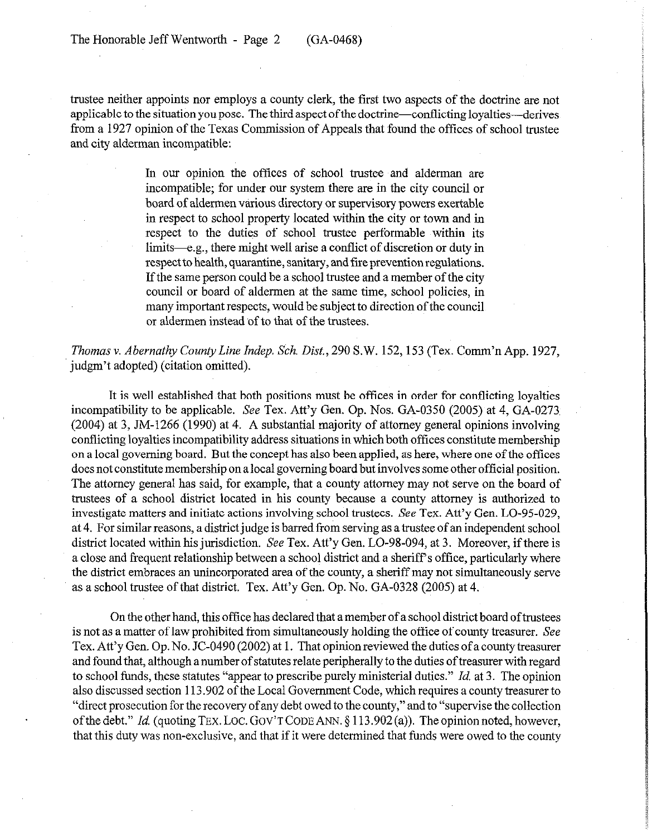trustee neither appoints nor employs a county clerk, the first two aspects of the doctrine are not applicable to the situation you pose. The third aspect of the doctrine—conflicting loyalties—derives from a 1927 opinion of the Texas Commission of Appeals that found the offices of school trustee and city alderman incompatible:

> In our opinion the offices of school trustee and alderman are incompatible; for under our system there are in the city council or board of aldermen various directory or supervisory powers exertable in respect to school property located within the city or town and in respect to the duties of school trustee performable within its limits—e.g., there might well arise a conflict of discretion or duty in respect to health, quarantine, sanitary, and tire prevention regulations. If the same person could be a school trustee and a member of the city council or board of aldermen at the same time, school policies, in many important respects, would be subject to direction of the council or aldermen instead of to that of the trustees.

*Thomas v. Abernathy County Line Indep. Sch. Disk,* 290 S.W. 152,153 (Tex. Comm'n App. 1927, judgm't adopted) (citation omitted).

It is well established that both positions must be offices in order for conflicting loyalties incompatibility to be applicable. See Tex. Att'y Gen. Op. Nos. GA-0350 (2005) at 4, GA-0273 (2004) at 3, JM-1266 (1990) at 4. A substantial majority of attorney general opinions involving conflicting loyalties incompatibility address situations in which both offices constitute membership on a local governing board. But the concept has also been applied, as here, where one of the offices does not constitute membership on a local governing board but involves some other official position. The attorney general has said, for example, that a county attorney may not serve on the board of trustees of a school district located in his county because a county attorney is authorized to investigate matters and initiate actions involving school trustees. See Tex. Att'y Gen. LO-95-029, at 4. For similar reasons, a district judge is barred from serving as a trustee of an independent school district located within his jurisdiction. See Tex. Att'y Gen. LO-98-094, at 3. Moreover, if there is a close and frequent relationship between a school district and a sheriff's office, particularly where the district embraces an unincorporated area of the county, a sheriff may not simultaneously serve as a school trustee of that district. Tex. Att'y Gen. Op. No. GA-0328 (2005) at 4.

On the other hand, this office has declared that a member of a school district board oftrustees is not as a matter of law prohibited from simultaneously holding the office of county treasurer. See Tex. Att'y Gen. Op. No. JC-0490 (2002) at 1. That opinion reviewed the duties of a county treasurer and found that, although a number of statutes relate peripherally to the duties of treasurer with regard to school funds, these statutes "appear to prescribe purely ministerial duties." *Id.* at 3. The opinion also discussed section 113.902 of the Local Government Code, which requires a county treasurer to "direct prosecution for the recovery of any debt owed to the county," and to "supervise the collection of the debt." *Id.* (quoting TEX. LOC. GOV'T CODE ANN. § 113.902(a)). The opinion noted, however, that this duty was non-exclusive, and that if it were determined that funds were owed to the county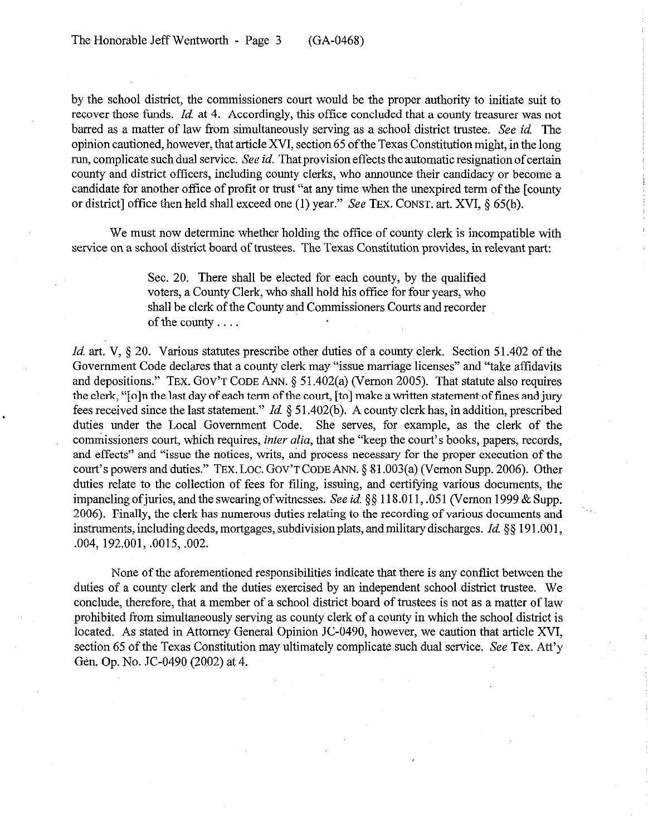by the school district, the commissioners court would be the proper authority to initiate suit to recover those funds. *Id.* at 4. Accordingly, this office concluded that a county treasurer was not barred as a matter of law from simultaneously serving as a school district trustee. See *id.* The opinion cautioned, however, that article XVI, section 65 of the Texas Constitution might, in the long run, complicate such dual service. See *id.* That provision effects the automatic resignation of certain county and district officers, including county clerks, who announce their candidacy or become a candidate for another office of profit or trust "at any time when the unexpired term of the [county or district] office then held shall exceed one (1) year." See TEX. CONST. art. XVI,  $\S$  65(b).

We must now determine whether holding the office of county clerk is incompatible with service on a school district board of trustees. The Texas Constitution provides, in relevant part:

> Sec. 20. There shall be elected for each county, by the qualified voters, a County Clerk, who shall hold his office for four years, who shall be clerk of the County and Commissioners Courts and recorder of the county

*Id.* art. V, § 20. Various statutes prescribe other duties of a county clerk. Section 51.402 of the Government Code declares that a county clerk may 'issue marriage licenses" and "take affidavits and depositions." TEX. GOV'T CODE ANN. § 51.402(a) (Vernon 2005). That statute also requires the clerk, "[o]n the last day of each term of the court, [to] make a written statement of tines and jury fees received since the last statement." *Id.* 3 5 1.402(b). A county clerk has, in addition, prescribed duties under the Local Government Code. She serves, for example, as the clerk of the commissioners court, which requires, *inter alia*, that she "keep the court's books, papers, records, and effects" and "issue the notices, writs, and process necessary for the proper execution of the court's powers and duties." TEX. LOC. GOV'T CODE ANN. § 81.003(a) (Vernon Supp. 2006). Other duties relate to the collection of fees for filing, issuing, and certifying various documents, the impaneling of juries, and the swearing of witnesses. See *id.* §§ 118.011, .051 (Vernon 1999 & Supp. 2006). Finally, the clerk has numerous duties relating to the recording of various documents and instruments, including deeds, mortgages, subdivision plats, and military discharges. *Id.*  $\S$  191.001, ,004, 192.001, .0015, ,002.

None of the aforementioned responsibilities indicate that there is any conflict between the duties of a county clerk and the duties exercised by an independent school district trustee. We conclude, therefore, that a member of a school district board of trustees is not as a matter of law prohibited from simultaneously serving as county clerk of a county in which the school district is located. As stated in Attorney General Opinion JC-0490, however, we caution that article XVI, section 65 of the Texas Constitution may ultimately complicate such dual service. See Tex. Att'y Gen. Op. No. JC-0490 (2002) at 4.